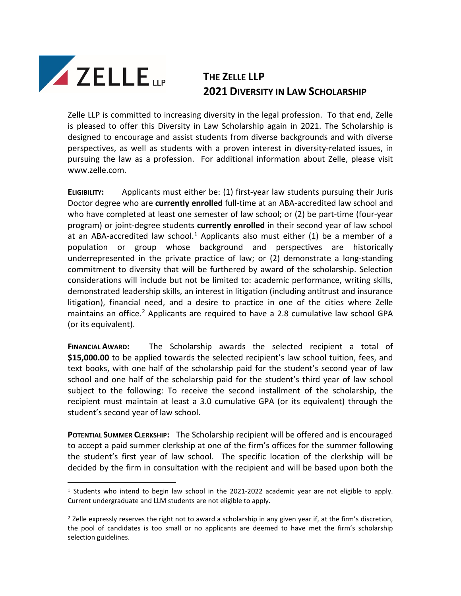

## **THE ZELLE LLP 2021 DIVERSITY IN LAW SCHOLARSHIP**

Zelle LLP is committed to increasing diversity in the legal profession. To that end, Zelle is pleased to offer this Diversity in Law Scholarship again in 2021. The Scholarship is designed to encourage and assist students from diverse backgrounds and with diverse perspectives, as well as students with a proven interest in diversity-related issues, in pursuing the law as a profession. For additional information about Zelle, please visit www.zelle.com.

**ELIGIBILITY:** Applicants must either be: (1) first-year law students pursuing their Juris Doctor degree who are **currently enrolled** full-time at an ABA-accredited law school and who have completed at least one semester of law school; or (2) be part-time (four-year program) or joint-degree students **currently enrolled** in their second year of law school at an ABA-accredited law school.<sup>[1](#page-0-0)</sup> Applicants also must either (1) be a member of a population or group whose background and perspectives are historically underrepresented in the private practice of law; or (2) demonstrate a long-standing commitment to diversity that will be furthered by award of the scholarship. Selection considerations will include but not be limited to: academic performance, writing skills, demonstrated leadership skills, an interest in litigation (including antitrust and insurance litigation), financial need, and a desire to practice in one of the cities where Zelle maintains an office.<sup>[2](#page-0-1)</sup> Applicants are required to have a 2.8 cumulative law school GPA (or its equivalent).

**FINANCIAL AWARD:** The Scholarship awards the selected recipient a total of **\$15,000.00** to be applied towards the selected recipient's law school tuition, fees, and text books, with one half of the scholarship paid for the student's second year of law school and one half of the scholarship paid for the student's third year of law school subject to the following: To receive the second installment of the scholarship, the recipient must maintain at least a 3.0 cumulative GPA (or its equivalent) through the student's second year of law school.

**POTENTIAL SUMMER CLERKSHIP:** The Scholarship recipient will be offered and is encouraged to accept a paid summer clerkship at one of the firm's offices for the summer following the student's first year of law school. The specific location of the clerkship will be decided by the firm in consultation with the recipient and will be based upon both the

<span id="page-0-0"></span> $1$  Students who intend to begin law school in the 2021-2022 academic year are not eligible to apply. Current undergraduate and LLM students are not eligible to apply.

<span id="page-0-1"></span> $2$  Zelle expressly reserves the right not to award a scholarship in any given year if, at the firm's discretion, the pool of candidates is too small or no applicants are deemed to have met the firm's scholarship selection guidelines.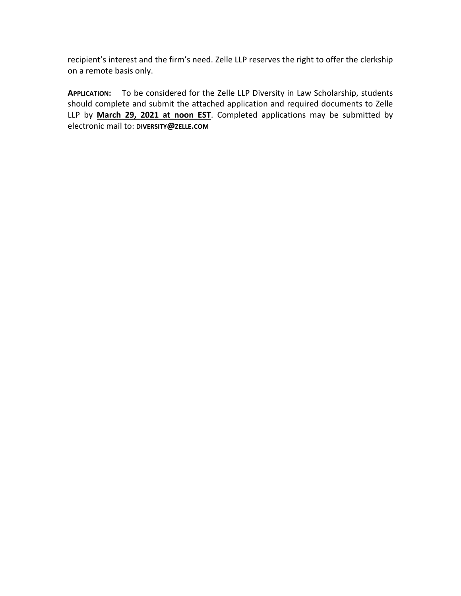recipient's interest and the firm's need. Zelle LLP reserves the right to offer the clerkship on a remote basis only.

**APPLICATION:** To be considered for the Zelle LLP Diversity in Law Scholarship, students should complete and submit the attached application and required documents to Zelle LLP by **March 29, 2021 at noon EST**. Completed applications may be submitted by electronic mail to: **DIVERSITY@ZELLE.COM**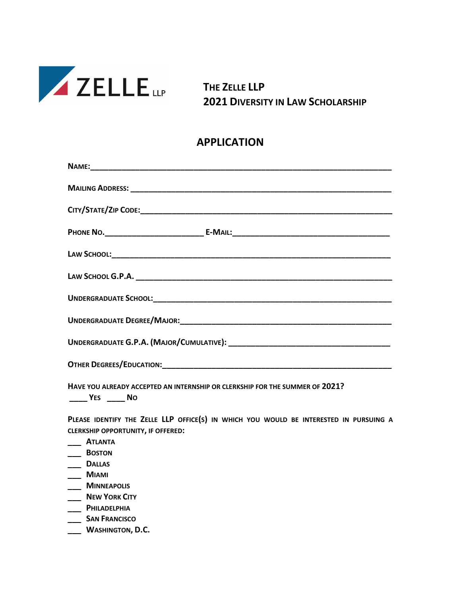

**THE ZELLE LLP 2021 DIVERSITY IN LAW SCHOLARSHIP** 

## **APPLICATION**

| HAVE YOU ALREADY ACCEPTED AN INTERNSHIP OR CLERKSHIP FOR THE SUMMER OF 2021?<br>$\frac{1}{2}$ YES $\frac{1}{2}$ No |  |
|--------------------------------------------------------------------------------------------------------------------|--|
| PIEASE IDENTIEY THE ZELLE LLP OFFICE(S) IN WHICH YOU WOULD BE INTERESTED IN PURSUING A                             |  |

ICE(S) IN WHICH YOU WOULD BE INTERESTED IN PURSUING **CLERKSHIP OPPORTUNITY, IF OFFERED:**

- **\_\_\_ ATLANTA**
- **\_\_\_ BOSTON**
- **\_\_\_ DALLAS**
- **\_\_\_ MIAMI**
- **\_\_\_ MINNEAPOLIS**
- **\_\_\_ NEW YORK CITY**
- **\_\_\_ PHILADELPHIA**
- **\_\_\_ SAN FRANCISCO**
- **\_\_\_ WASHINGTON, D.C.**